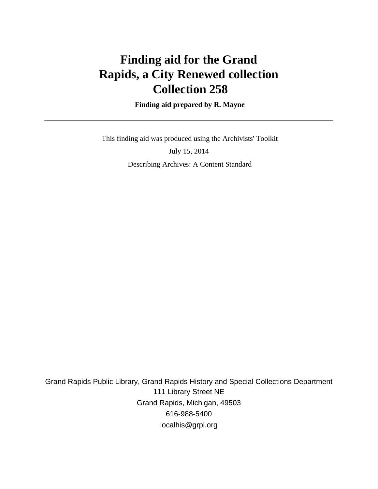# **Finding aid for the Grand Rapids, a City Renewed collection Collection 258**

 **Finding aid prepared by R. Mayne**

 This finding aid was produced using the Archivists' Toolkit July 15, 2014 Describing Archives: A Content Standard

Grand Rapids Public Library, Grand Rapids History and Special Collections Department 111 Library Street NE Grand Rapids, Michigan, 49503 616-988-5400 localhis@grpl.org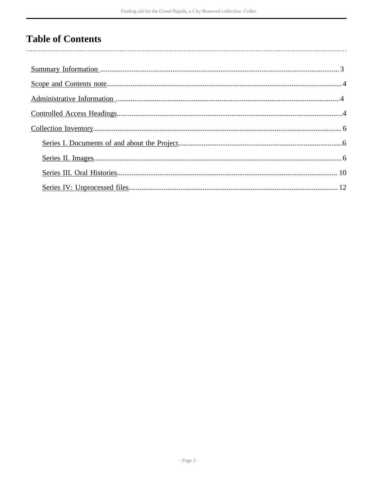# **Table of Contents**

 $\overline{\phantom{a}}$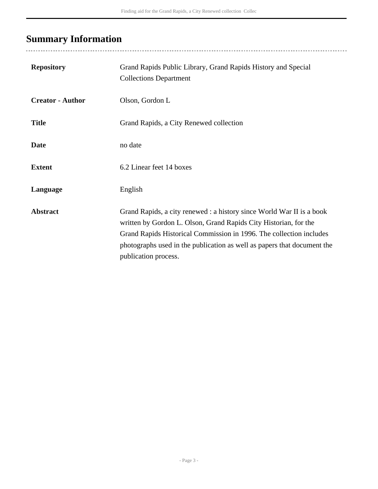# <span id="page-2-0"></span>**Summary Information**

..................................

| <b>Repository</b>       | Grand Rapids Public Library, Grand Rapids History and Special<br><b>Collections Department</b>                                                                                                                                                                                                                      |
|-------------------------|---------------------------------------------------------------------------------------------------------------------------------------------------------------------------------------------------------------------------------------------------------------------------------------------------------------------|
| <b>Creator - Author</b> | Olson, Gordon L                                                                                                                                                                                                                                                                                                     |
| <b>Title</b>            | Grand Rapids, a City Renewed collection                                                                                                                                                                                                                                                                             |
| <b>Date</b>             | no date                                                                                                                                                                                                                                                                                                             |
| <b>Extent</b>           | 6.2 Linear feet 14 boxes                                                                                                                                                                                                                                                                                            |
| Language                | English                                                                                                                                                                                                                                                                                                             |
| <b>Abstract</b>         | Grand Rapids, a city renewed : a history since World War II is a book<br>written by Gordon L. Olson, Grand Rapids City Historian, for the<br>Grand Rapids Historical Commission in 1996. The collection includes<br>photographs used in the publication as well as papers that document the<br>publication process. |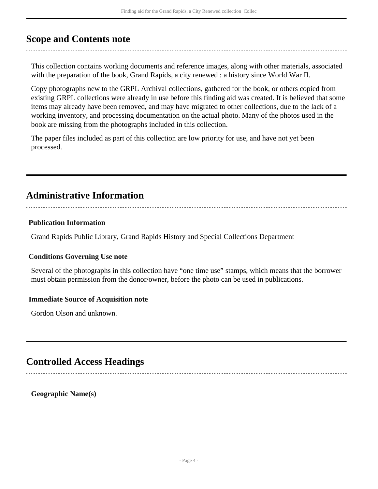## <span id="page-3-0"></span>**Scope and Contents note**

This collection contains working documents and reference images, along with other materials, associated with the preparation of the book, Grand Rapids, a city renewed : a history since World War II.

Copy photographs new to the GRPL Archival collections, gathered for the book, or others copied from existing GRPL collections were already in use before this finding aid was created. It is believed that some items may already have been removed, and may have migrated to other collections, due to the lack of a working inventory, and processing documentation on the actual photo. Many of the photos used in the book are missing from the photographs included in this collection.

The paper files included as part of this collection are low priority for use, and have not yet been processed.

## <span id="page-3-1"></span>**Administrative Information**

#### **Publication Information**

Grand Rapids Public Library, Grand Rapids History and Special Collections Department

#### **Conditions Governing Use note**

Several of the photographs in this collection have "one time use" stamps, which means that the borrower must obtain permission from the donor/owner, before the photo can be used in publications.

### **Immediate Source of Acquisition note**

Gordon Olson and unknown.

### <span id="page-3-2"></span>**Controlled Access Headings**

**Geographic Name(s)**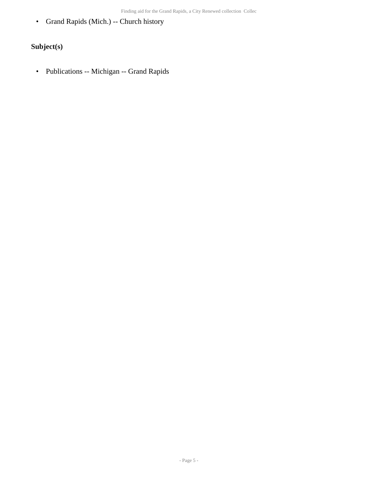• Grand Rapids (Mich.) -- Church history

### **Subject(s)**

• Publications -- Michigan -- Grand Rapids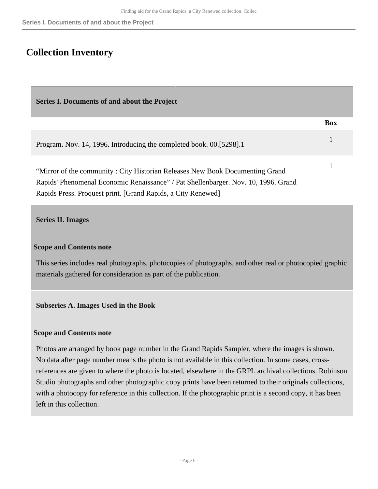### <span id="page-5-0"></span>**Collection Inventory**

<span id="page-5-1"></span>

| Series I. Documents of and about the Project                                                                                                                                                                                       |            |
|------------------------------------------------------------------------------------------------------------------------------------------------------------------------------------------------------------------------------------|------------|
|                                                                                                                                                                                                                                    | <b>Box</b> |
| Program. Nov. 14, 1996. Introducing the completed book. 00. [5298]. 1                                                                                                                                                              | 1          |
| "Mirror of the community: City Historian Releases New Book Documenting Grand<br>Rapids' Phenomenal Economic Renaissance" / Pat Shellenbarger. Nov. 10, 1996. Grand<br>Rapids Press. Proquest print. [Grand Rapids, a City Renewed] |            |

#### <span id="page-5-2"></span>**Series II. Images**

#### **Scope and Contents note**

This series includes real photographs, photocopies of photographs, and other real or photocopied graphic materials gathered for consideration as part of the publication.

#### **Subseries A. Images Used in the Book**

#### **Scope and Contents note**

Photos are arranged by book page number in the Grand Rapids Sampler, where the images is shown. No data after page number means the photo is not available in this collection. In some cases, crossreferences are given to where the photo is located, elsewhere in the GRPL archival collections. Robinson Studio photographs and other photographic copy prints have been returned to their originals collections, with a photocopy for reference in this collection. If the photographic print is a second copy, it has been left in this collection.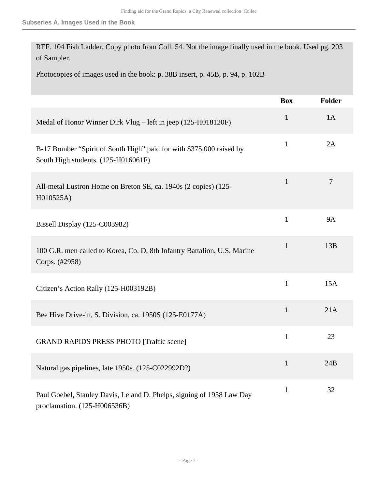REF. 104 Fish Ladder, Copy photo from Coll. 54. Not the image finally used in the book. Used pg. 203 of Sampler.

Photocopies of images used in the book: p. 38B insert, p. 45B, p. 94, p. 102B

|                                                                                                             | <b>Box</b>   | Folder         |
|-------------------------------------------------------------------------------------------------------------|--------------|----------------|
| Medal of Honor Winner Dirk Vlug - left in jeep (125-H018120F)                                               | $\mathbf{1}$ | 1A             |
| B-17 Bomber "Spirit of South High" paid for with \$375,000 raised by<br>South High students. (125-H016061F) | $\mathbf{1}$ | 2A             |
| All-metal Lustron Home on Breton SE, ca. 1940s (2 copies) (125-<br>H010525A)                                | $\mathbf{1}$ | $\overline{7}$ |
| Bissell Display (125-C003982)                                                                               | $\mathbf{1}$ | <b>9A</b>      |
| 100 G.R. men called to Korea, Co. D, 8th Infantry Battalion, U.S. Marine<br>Corps. (#2958)                  | $\mathbf{1}$ | 13B            |
| Citizen's Action Rally (125-H003192B)                                                                       | $\mathbf{1}$ | 15A            |
| Bee Hive Drive-in, S. Division, ca. 1950S (125-E0177A)                                                      | $\mathbf{1}$ | 21A            |
| <b>GRAND RAPIDS PRESS PHOTO [Traffic scene]</b>                                                             | $\mathbf{1}$ | 23             |
| Natural gas pipelines, late 1950s. (125-C022992D?)                                                          | $\mathbf{1}$ | 24B            |
| Paul Goebel, Stanley Davis, Leland D. Phelps, signing of 1958 Law Day<br>proclamation. (125-H006536B)       | $\mathbf{1}$ | 32             |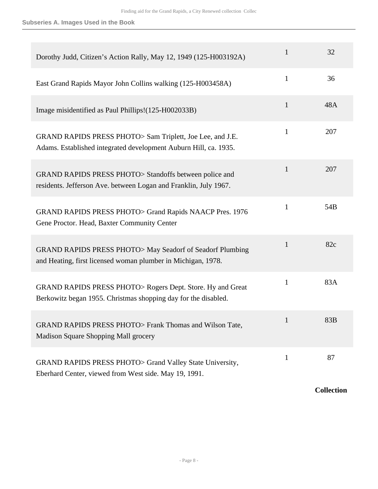| Dorothy Judd, Citizen's Action Rally, May 12, 1949 (125-H003192A)                                                             | 1            | 32  |
|-------------------------------------------------------------------------------------------------------------------------------|--------------|-----|
| East Grand Rapids Mayor John Collins walking (125-H003458A)                                                                   | 1            | 36  |
| Image misidentified as Paul Phillips!(125-H002033B)                                                                           | 1            | 48A |
| GRAND RAPIDS PRESS PHOTO> Sam Triplett, Joe Lee, and J.E.<br>Adams. Established integrated development Auburn Hill, ca. 1935. | $\mathbf{1}$ | 207 |
| GRAND RAPIDS PRESS PHOTO> Standoffs between police and<br>residents. Jefferson Ave. between Logan and Franklin, July 1967.    | 1            | 207 |
| GRAND RAPIDS PRESS PHOTO> Grand Rapids NAACP Pres. 1976<br>Gene Proctor. Head, Baxter Community Center                        | $\mathbf{1}$ | 54B |
| GRAND RAPIDS PRESS PHOTO> May Seadorf of Seadorf Plumbing<br>and Heating, first licensed woman plumber in Michigan, 1978.     | $\mathbf{1}$ | 82c |
| GRAND RAPIDS PRESS PHOTO> Rogers Dept. Store. Hy and Great<br>Berkowitz began 1955. Christmas shopping day for the disabled.  | 1            | 83A |
| GRAND RAPIDS PRESS PHOTO> Frank Thomas and Wilson Tate,<br>Madison Square Shopping Mall grocery                               |              | 83B |
| GRAND RAPIDS PRESS PHOTO> Grand Valley State University,<br>Eberhard Center, viewed from West side. May 19, 1991.             | $\mathbf{1}$ | 87  |

**Collection**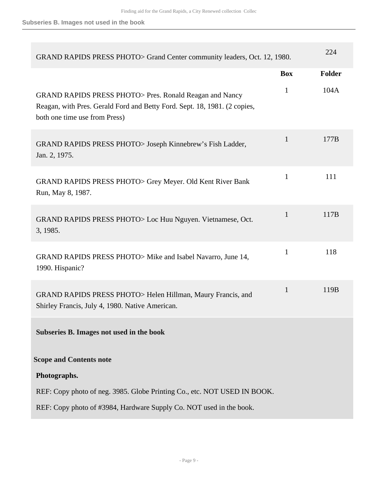| GRAND RAPIDS PRESS PHOTO> Grand Center community leaders, Oct. 12, 1980.                                                                                               |              | 224    |
|------------------------------------------------------------------------------------------------------------------------------------------------------------------------|--------------|--------|
|                                                                                                                                                                        | <b>Box</b>   | Folder |
| GRAND RAPIDS PRESS PHOTO > Pres. Ronald Reagan and Nancy<br>Reagan, with Pres. Gerald Ford and Betty Ford. Sept. 18, 1981. (2 copies,<br>both one time use from Press) | $\mathbf{1}$ | 104A   |
| GRAND RAPIDS PRESS PHOTO> Joseph Kinnebrew's Fish Ladder,<br>Jan. 2, 1975.                                                                                             | 1            | 177B   |
| <b>GRAND RAPIDS PRESS PHOTO&gt; Grey Meyer. Old Kent River Bank</b><br>Run, May 8, 1987.                                                                               | $\mathbf{1}$ | 111    |
| GRAND RAPIDS PRESS PHOTO > Loc Huu Nguyen. Vietnamese, Oct.<br>3, 1985.                                                                                                | 1            | 117B   |
| GRAND RAPIDS PRESS PHOTO> Mike and Isabel Navarro, June 14,<br>1990. Hispanic?                                                                                         | $\mathbf{1}$ | 118    |
| GRAND RAPIDS PRESS PHOTO> Helen Hillman, Maury Francis, and<br>Shirley Francis, July 4, 1980. Native American.                                                         | $\mathbf{1}$ | 119B   |
| Subseries B. Images not used in the book                                                                                                                               |              |        |
| <b>Scope and Contents note</b>                                                                                                                                         |              |        |
| Photographs.                                                                                                                                                           |              |        |
| REF: Copy photo of neg. 3985. Globe Printing Co., etc. NOT USED IN BOOK.                                                                                               |              |        |
| REF: Copy photo of #3984, Hardware Supply Co. NOT used in the book.                                                                                                    |              |        |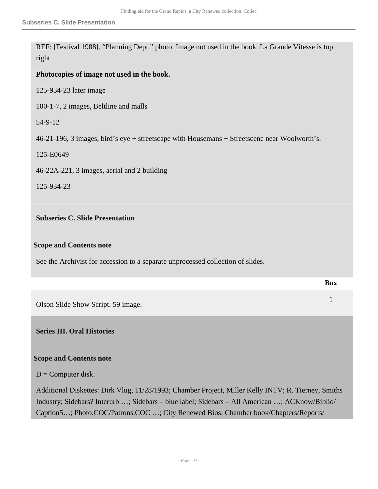REF: [Festival 1988]. "Planning Dept." photo. Image not used in the book. La Grande Vitesse is top right.

#### **Photocopies of image not used in the book.**

125-934-23 later image

100-1-7, 2 images, Beltline and malls

54-9-12

46-21-196, 3 images, bird's eye + streetscape with Housemans + Streetscene near Woolworth's.

125-E0649

46-22A-221, 3 images, aerial and 2 building

125-934-23

#### **Subseries C. Slide Presentation**

#### **Scope and Contents note**

See the Archivist for accession to a separate unprocessed collection of slides.

|                                    | <b>Box</b> |
|------------------------------------|------------|
| Olson Slide Show Script. 59 image. |            |
| <b>Series III. Oral Histories</b>  |            |

### <span id="page-9-0"></span>**Scope and Contents note**

 $D =$  Computer disk.

Additional Diskettes: Dirk Vlug, 11/28/1993; Chamber Project, Miller Kelly INTV; R. Tierney, Smiths Industry; Sidebars? Interurb …; Sidebars – blue label; Sidebars – All American …; ACKnow/Biblio/ Caption5…; Photo.COC/Patrons.COC …; City Renewed Bios; Chamber book/Chapters/Reports/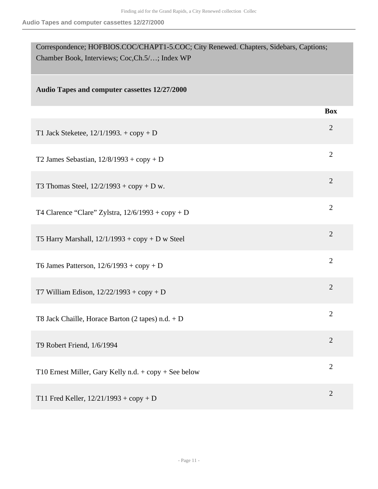| Correspondence; HOFBIOS.COC/CHAPT1-5.COC; City Renewed. Chapters, Sidebars, Captions;<br>Chamber Book, Interviews; Coc, Ch.5/; Index WP |                |
|-----------------------------------------------------------------------------------------------------------------------------------------|----------------|
| Audio Tapes and computer cassettes 12/27/2000                                                                                           |                |
|                                                                                                                                         | <b>Box</b>     |
| T1 Jack Steketee, $12/1/1993$ . + copy + D                                                                                              | $\overline{2}$ |
| T2 James Sebastian, $12/8/1993 + \text{copy} + D$                                                                                       | $\overline{2}$ |
| T3 Thomas Steel, $12/2/1993 + copy + D w$ .                                                                                             | $\overline{2}$ |
| T4 Clarence "Clare" Zylstra, $12/6/1993 + \text{copy} + D$                                                                              | $\overline{2}$ |
| T5 Harry Marshall, $12/1/1993 + \text{copy} + D$ w Steel                                                                                | $\overline{2}$ |
| T6 James Patterson, $12/6/1993 + \text{copy} + D$                                                                                       | $\overline{2}$ |
| T7 William Edison, $12/22/1993 + copy + D$                                                                                              | $\overline{2}$ |
| T8 Jack Chaille, Horace Barton $(2 \text{ tapes}) \text{ n.d.} + \text{D}$                                                              | $\overline{2}$ |
| T9 Robert Friend, 1/6/1994                                                                                                              | $\overline{2}$ |
| T10 Ernest Miller, Gary Kelly n.d. + copy + See below                                                                                   | $\overline{2}$ |
| T11 Fred Keller, $12/21/1993 + copy + D$                                                                                                | $\overline{2}$ |